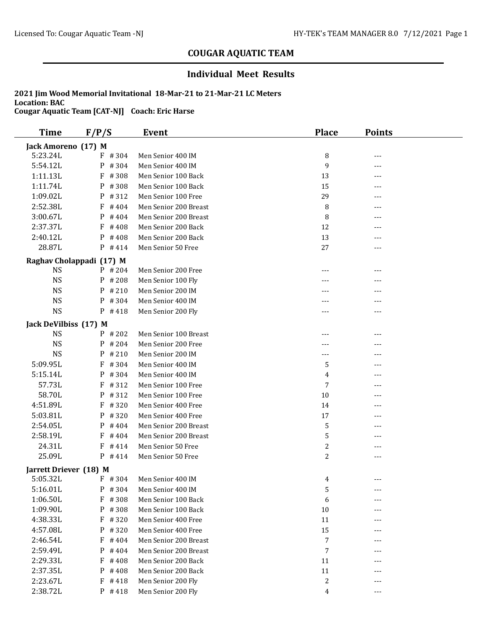### **Individual Meet Results**

| <b>Time</b>            | F/P/S                    | Event                 | <b>Place</b>     | <b>Points</b> |  |
|------------------------|--------------------------|-----------------------|------------------|---------------|--|
| Jack Amoreno (17) M    |                          |                       |                  |               |  |
| 5:23.24L               | $F$ #304                 | Men Senior 400 IM     | 8                | ---           |  |
| 5:54.12L               | #304<br>P                | Men Senior 400 IM     | 9                | ---           |  |
| 1:11.13L               | F<br>#308                | Men Senior 100 Back   | 13               | ---           |  |
| 1:11.74L               | P<br>#308                | Men Senior 100 Back   | 15               | ---           |  |
| 1:09.02L               | P<br>#312                | Men Senior 100 Free   | 29               | ---           |  |
| 2:52.38L               | F<br>#404                | Men Senior 200 Breast | 8                |               |  |
| 3:00.67L               | #404<br>P                | Men Senior 200 Breast | 8                |               |  |
| 2:37.37L               | #408<br>F                | Men Senior 200 Back   | 12               |               |  |
| 2:40.12L               | #408<br>P                | Men Senior 200 Back   | 13               | ---           |  |
| 28.87L                 | $P$ #414                 | Men Senior 50 Free    | 27               | ---           |  |
|                        | Raghav Cholappadi (17) M |                       |                  |               |  |
| <b>NS</b>              | P #204                   | Men Senior 200 Free   | ---              | ---           |  |
| <b>NS</b>              | $P$ # 208                | Men Senior 100 Fly    |                  | ---           |  |
| <b>NS</b>              | P<br>#210                | Men Senior 200 IM     |                  | ---           |  |
| <b>NS</b>              | $P$ # 304                | Men Senior 400 IM     |                  |               |  |
| <b>NS</b>              | P #418                   | Men Senior 200 Fly    | ---              | ---           |  |
| Jack DeVilbiss (17) M  |                          |                       |                  |               |  |
| <b>NS</b>              | $P$ # 202                | Men Senior 100 Breast |                  |               |  |
| <b>NS</b>              | $P$ # 204                | Men Senior 200 Free   | ---              | ---           |  |
| <b>NS</b>              | P<br>#210                | Men Senior 200 IM     | $---$            | ---           |  |
| 5:09.95L               | F<br>#304                | Men Senior 400 IM     | 5                | $---$         |  |
| 5:15.14L               | P #304                   | Men Senior 400 IM     | 4                | ---           |  |
| 57.73L                 | $F$ # 312                | Men Senior 100 Free   | 7                | $---$         |  |
| 58.70L                 | P #312                   | Men Senior 100 Free   | $10\,$           | ---           |  |
| 4:51.89L               | F<br>#320                | Men Senior 400 Free   | 14               | ---           |  |
| 5:03.81L               | P<br>#320                | Men Senior 400 Free   | 17               |               |  |
| 2:54.05L               | #404<br>P                | Men Senior 200 Breast | 5                | ---           |  |
| 2:58.19L               | #404<br>F                | Men Senior 200 Breast | 5                | ---           |  |
| 24.31L                 | #414<br>F                | Men Senior 50 Free    | $\sqrt{2}$       |               |  |
| 25.09L                 | $P$ #414                 | Men Senior 50 Free    | $\mathbf{2}$     | ---           |  |
| Jarrett Driever (18) M |                          |                       |                  |               |  |
| 5:05.32L               | $F$ # 304                | Men Senior 400 IM     | 4                | ---           |  |
| 5:16.01L               | $P$ # 304                | Men Senior 400 IM     | 5                | ---           |  |
| 1:06.50L               | F #308                   | Men Senior 100 Back   | 6                |               |  |
| 1:09.90L               | P #308                   | Men Senior 100 Back   | 10               |               |  |
| 4:38.33L               | $F$ # 320                | Men Senior 400 Free   | 11               |               |  |
| 4:57.08L               | $P$ # 320                | Men Senior 400 Free   | 15               | ---           |  |
| 2:46.54L               | $F$ #404                 | Men Senior 200 Breast | $\boldsymbol{7}$ |               |  |
| 2:59.49L               | P<br>#404                | Men Senior 200 Breast | $\sqrt{ }$       | ---           |  |
| 2:29.33L               | F<br>#408                | Men Senior 200 Back   | 11               |               |  |
| 2:37.35L               | P<br>#408                | Men Senior 200 Back   | 11               | ---           |  |
| 2:23.67L               | F #418                   | Men Senior 200 Fly    | 2                | ---           |  |
| 2:38.72L               | $P$ # 418                | Men Senior 200 Fly    | 4                | $---$         |  |
|                        |                          |                       |                  |               |  |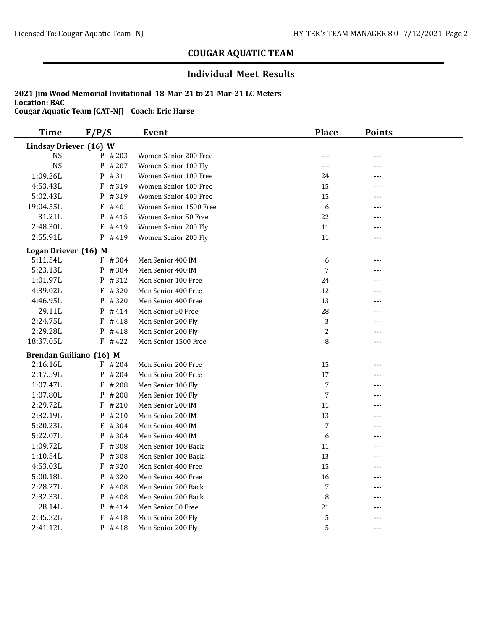### **Individual Meet Results**

| <b>Time</b>             | F/P/S     | <b>Event</b>           | <b>Place</b>   | <b>Points</b> |  |  |
|-------------------------|-----------|------------------------|----------------|---------------|--|--|
| Lindsay Driever (16) W  |           |                        |                |               |  |  |
| <b>NS</b>               | $P$ # 203 | Women Senior 200 Free  | ---            | $---$         |  |  |
| <b>NS</b>               | $P$ # 207 | Women Senior 100 Fly   | $---$          | $---$         |  |  |
| 1:09.26L                | P #311    | Women Senior 100 Free  | 24             | ---           |  |  |
| 4:53.43L                | $F$ #319  | Women Senior 400 Free  | 15             | $---$         |  |  |
| 5:02.43L                | P #319    | Women Senior 400 Free  | 15             | $---$         |  |  |
| 19:04.55L               | $F$ #401  | Women Senior 1500 Free | 6              | $---$         |  |  |
| 31.21L                  | $P$ # 415 | Women Senior 50 Free   | 22             | $---$         |  |  |
| 2:48.30L                | $F$ #419  | Women Senior 200 Fly   | 11             | $---$         |  |  |
| 2:55.91L                | $P$ #419  | Women Senior 200 Fly   | 11             | $---$         |  |  |
| Logan Driever (16) M    |           |                        |                |               |  |  |
| 5:11.54L                | F #304    | Men Senior 400 IM      | 6              | $---$         |  |  |
| 5:23.13L                | P #304    | Men Senior 400 IM      | $\sqrt{ }$     | $---$         |  |  |
| 1:01.97L                | P #312    | Men Senior 100 Free    | 24             | $---$         |  |  |
| 4:39.02L                | $F$ #320  | Men Senior 400 Free    | 12             | ---           |  |  |
| 4:46.95L                | $P$ # 320 | Men Senior 400 Free    | 13             | $---$         |  |  |
| 29.11L                  | $P$ #414  | Men Senior 50 Free     | 28             | ---           |  |  |
| 2:24.75L                | $F$ #418  | Men Senior 200 Fly     | 3              | $---$         |  |  |
| 2:29.28L                | $P$ # 418 | Men Senior 200 Fly     | 2              | $---$         |  |  |
| 18:37.05L               | $F$ #422  | Men Senior 1500 Free   | 8              | $---$         |  |  |
| Brendan Guiliano (16) M |           |                        |                |               |  |  |
| 2:16.16L                | $F$ # 204 | Men Senior 200 Free    | 15             | ---           |  |  |
| 2:17.59L                | $P$ # 204 | Men Senior 200 Free    | 17             | $---$         |  |  |
| 1:07.47L                | $F$ # 208 | Men Senior 100 Fly     | $\overline{7}$ | $---$         |  |  |
| 1:07.80L                | $P$ # 208 | Men Senior 100 Fly     | 7              | $---$         |  |  |
| 2:29.72L                | $F$ # 210 | Men Senior 200 IM      | 11             |               |  |  |
| 2:32.19L                | $P$ # 210 | Men Senior 200 IM      | 13             | $---$         |  |  |
| 5:20.23L                | $F$ # 304 | Men Senior 400 IM      | $\overline{7}$ | $---$         |  |  |
| 5:22.07L                | P #304    | Men Senior 400 IM      | 6              | $---$         |  |  |
| 1:09.72L                | $F$ # 308 | Men Senior 100 Back    | 11             | $---$         |  |  |
| 1:10.54L                | P #308    | Men Senior 100 Back    | 13             | ---           |  |  |
| 4:53.03L                | F #320    | Men Senior 400 Free    | 15             | $---$         |  |  |
| 5:00.18L                | P #320    | Men Senior 400 Free    | 16             | $---$         |  |  |
| 2:28.27L                | F<br>#408 | Men Senior 200 Back    | 7              | $---$         |  |  |
| 2:32.33L                | P<br>#408 | Men Senior 200 Back    | 8              | ---           |  |  |
| 28.14L                  | P #414    | Men Senior 50 Free     | 21             | ---           |  |  |
| 2:35.32L                | F<br>#418 | Men Senior 200 Fly     | 5              | ---           |  |  |
| 2:41.12L                | $P$ #418  | Men Senior 200 Fly     | 5              | $---$         |  |  |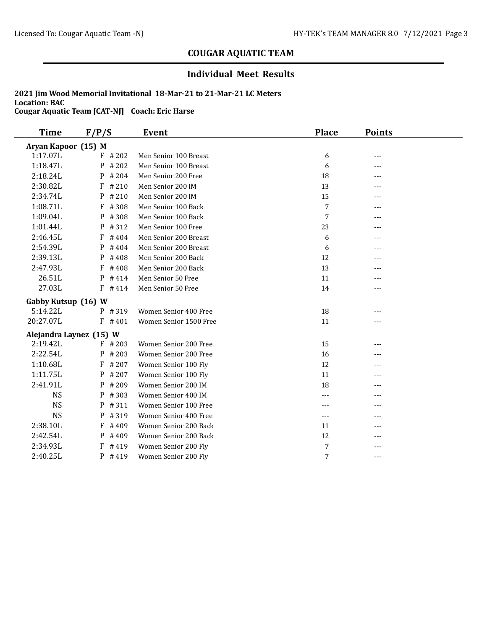### **Individual Meet Results**

| Time                | F/P/S                   | <b>Event</b>           | <b>Place</b>   | <b>Points</b> |  |
|---------------------|-------------------------|------------------------|----------------|---------------|--|
| Aryan Kapoor (15) M |                         |                        |                |               |  |
| 1:17.07L            | $F$ # 202               | Men Senior 100 Breast  | 6              | ---           |  |
| 1:18.47L            | P<br>#202               | Men Senior 100 Breast  | 6              | ---           |  |
| 2:18.24L            | #204<br>P               | Men Senior 200 Free    | 18             |               |  |
| 2:30.82L            | #210<br>F               | Men Senior 200 IM      | 13             |               |  |
| 2:34.74L            | #210<br>P               | Men Senior 200 IM      | 15             | ---           |  |
| 1:08.71L            | F<br>#308               | Men Senior 100 Back    | $\overline{7}$ | ---           |  |
| 1:09.04L            | P<br>#308               | Men Senior 100 Back    | 7              | $---$         |  |
| 1:01.44L            | P<br>#312               | Men Senior 100 Free    | 23             | $---$         |  |
| 2:46.45L            | #404<br>F               | Men Senior 200 Breast  | 6              | ---           |  |
| 2:54.39L            | #404<br>P               | Men Senior 200 Breast  | 6              | ---           |  |
| 2:39.13L            | P<br>#408               | Men Senior 200 Back    | 12             |               |  |
| 2:47.93L            | F<br>#408               | Men Senior 200 Back    | 13             | ---           |  |
| 26.51L              | P<br>#414               | Men Senior 50 Free     | 11             | $---$         |  |
| 27.03L              | F<br>#414               | Men Senior 50 Free     | 14             | $---$         |  |
| Gabby Kutsup (16) W |                         |                        |                |               |  |
| 5:14.22L            | P #319                  | Women Senior 400 Free  | 18             | ---           |  |
| 20:27.07L           | $F$ #401                | Women Senior 1500 Free | 11             | ---           |  |
|                     | Alejandra Laynez (15) W |                        |                |               |  |
| 2:19.42L            | $F$ # 203               | Women Senior 200 Free  | 15             | ---           |  |
| 2:22.54L            | #203<br>P               | Women Senior 200 Free  | 16             | ---           |  |
| 1:10.68L            | #207<br>F               | Women Senior 100 Fly   | 12             | ---           |  |
| 1:11.75L            | #207<br>P               | Women Senior 100 Fly   | 11             | ---           |  |
| 2:41.91L            | #209<br>P               | Women Senior 200 IM    | 18             | ---           |  |
| <b>NS</b>           | P<br>#303               | Women Senior 400 IM    | $---$          | $---$         |  |
| <b>NS</b>           | #311<br>P               | Women Senior 100 Free  | $---$          | $---$         |  |
| <b>NS</b>           | P<br>#319               | Women Senior 400 Free  | $---$          | ---           |  |
| 2:38.10L            | F<br>#409               | Women Senior 200 Back  | 11             | $- - -$       |  |
| 2:42.54L            | P<br>#409               | Women Senior 200 Back  | 12             | ---           |  |
| 2:34.93L            | F<br>#419               | Women Senior 200 Fly   | 7              |               |  |
| 2:40.25L            | P<br>#419               | Women Senior 200 Fly   | $\overline{7}$ | $---$         |  |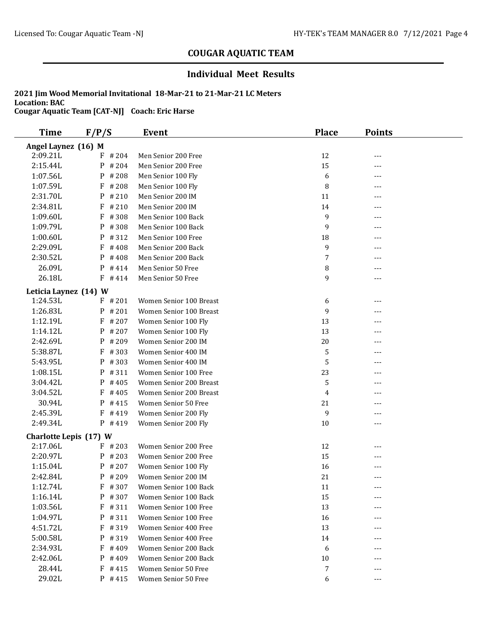### **Individual Meet Results**

| <b>Time</b>            | F/P/S      | Event                   | <b>Place</b>   | <b>Points</b> |  |  |
|------------------------|------------|-------------------------|----------------|---------------|--|--|
| Angel Laynez (16) M    |            |                         |                |               |  |  |
| 2:09.21L               | #204<br>F  | Men Senior 200 Free     | 12             | ---           |  |  |
| 2:15.44L               | P<br>#204  | Men Senior 200 Free     | 15             | ---           |  |  |
| 1:07.56L               | P<br>#208  | Men Senior 100 Fly      | 6              | $---$         |  |  |
| 1:07.59L               | F<br># 208 | Men Senior 100 Fly      | 8              | ---           |  |  |
| 2:31.70L               | P<br>#210  | Men Senior 200 IM       | 11             | ---           |  |  |
| 2:34.81L               | F<br>#210  | Men Senior 200 IM       | 14             | ---           |  |  |
| 1:09.60L               | #308<br>F  | Men Senior 100 Back     | 9              | ---           |  |  |
| 1:09.79L               | P<br>#308  | Men Senior 100 Back     | 9              | ---           |  |  |
| 1:00.60L               | #312<br>P  | Men Senior 100 Free     | 18             |               |  |  |
| 2:29.09L               | F<br>#408  | Men Senior 200 Back     | 9              | ---           |  |  |
| 2:30.52L               | P<br>#408  | Men Senior 200 Back     | $\overline{7}$ | ---           |  |  |
| 26.09L                 | P<br>#414  | Men Senior 50 Free      | 8              | ---           |  |  |
| 26.18L                 | $F$ #414   | Men Senior 50 Free      | 9              | $---$         |  |  |
| Leticia Laynez (14) W  |            |                         |                |               |  |  |
| 1:24.53L               | $F$ # 201  | Women Senior 100 Breast | 6              | ---           |  |  |
| 1:26.83L               | $P$ # 201  | Women Senior 100 Breast | 9              | ---           |  |  |
| 1:12.19L               | F<br>#207  | Women Senior 100 Fly    | 13             | ---           |  |  |
| 1:14.12L               | #207<br>P  | Women Senior 100 Fly    | 13             |               |  |  |
| 2:42.69L               | P<br>#209  | Women Senior 200 IM     | 20             | ---           |  |  |
| 5:38.87L               | F<br>#303  | Women Senior 400 IM     | 5              | ---           |  |  |
| 5:43.95L               | $P$ # 303  | Women Senior 400 IM     | 5              | ---           |  |  |
| 1:08.15L               | P<br>#311  | Women Senior 100 Free   | 23             | ---           |  |  |
| 3:04.42L               | P<br>#405  | Women Senior 200 Breast | 5              | ---           |  |  |
| 3:04.52L               | F<br>#405  | Women Senior 200 Breast | 4              | $---$         |  |  |
| 30.94L                 | P<br>#415  | Women Senior 50 Free    | 21             | ---           |  |  |
| 2:45.39L               | F<br>#419  | Women Senior 200 Fly    | 9              | ---           |  |  |
| 2:49.34L               | P #419     | Women Senior 200 Fly    | 10             | ---           |  |  |
| Charlotte Lepis (17) W |            |                         |                |               |  |  |
| 2:17.06L               | $F$ # 203  | Women Senior 200 Free   | 12             | ---           |  |  |
| 2:20.97L               | #203<br>P  | Women Senior 200 Free   | 15             |               |  |  |
| 1:15.04L               | #207<br>P  | Women Senior 100 Fly    | 16             | ---           |  |  |
| 2:42.84L               | $P$ # 209  | Women Senior 200 IM     | 21             | ---           |  |  |
| 1:12.74L               | F #307     | Women Senior 100 Back   | 11             | ---           |  |  |
| 1:16.14L               | P<br>#307  | Women Senior 100 Back   | 15             | ---           |  |  |
| 1:03.56L               | $F$ # 311  | Women Senior 100 Free   | 13             |               |  |  |
| 1:04.97L               | P #311     | Women Senior 100 Free   | 16             | ---           |  |  |
| 4:51.72L               | F #319     | Women Senior 400 Free   | 13             | ---           |  |  |
| 5:00.58L               | P #319     | Women Senior 400 Free   | 14             | ---           |  |  |
| 2:34.93L               | F<br>#409  | Women Senior 200 Back   | 6              |               |  |  |
| 2:42.06L               | P<br>#409  | Women Senior 200 Back   | 10             |               |  |  |
| 28.44L                 | $F$ #415   | Women Senior 50 Free    | 7              | ---           |  |  |
| 29.02L                 | $P$ #415   | Women Senior 50 Free    | 6              | ---           |  |  |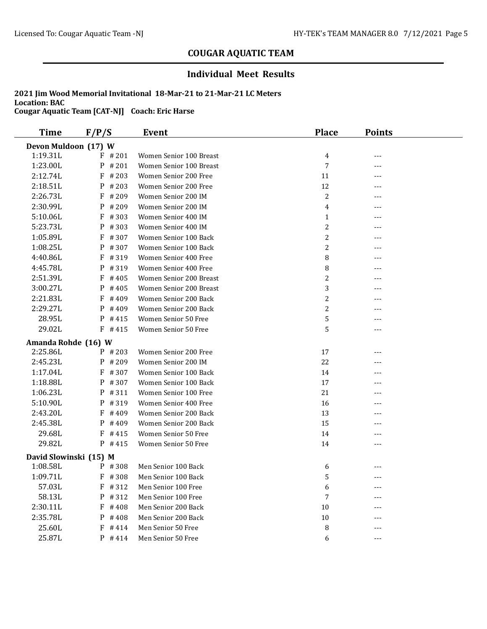### **Individual Meet Results**

| <b>Time</b>          | F/P/S                  | Event                   | <b>Place</b>   | <b>Points</b> |  |  |  |
|----------------------|------------------------|-------------------------|----------------|---------------|--|--|--|
| Devon Muldoon (17) W |                        |                         |                |               |  |  |  |
| 1:19.31L             | $F$ # 201              | Women Senior 100 Breast | 4              | ---           |  |  |  |
| 1:23.00L             | P<br># 201             | Women Senior 100 Breast | 7              | ---           |  |  |  |
| 2:12.74L             | F<br>#203              | Women Senior 200 Free   | 11             | $---$         |  |  |  |
| 2:18.51L             | P<br># 203             | Women Senior 200 Free   | 12             | ---           |  |  |  |
| 2:26.73L             | F<br>#209              | Women Senior 200 IM     | 2              | ---           |  |  |  |
| 2:30.99L             | P<br>#209              | Women Senior 200 IM     | 4              | ---           |  |  |  |
| 5:10.06L             | F<br>#303              | Women Senior 400 IM     | $\mathbf{1}$   | ---           |  |  |  |
| 5:23.73L             | P<br>#303              | Women Senior 400 IM     | $\overline{c}$ |               |  |  |  |
| 1:05.89L             | F<br>#307              | Women Senior 100 Back   | 2              | ---           |  |  |  |
| 1:08.25L             | P<br>#307              | Women Senior 100 Back   | $\overline{c}$ | ---           |  |  |  |
| 4:40.86L             | F<br>#319              | Women Senior 400 Free   | 8              |               |  |  |  |
| 4:45.78L             | P<br>#319              | Women Senior 400 Free   | 8              | ---           |  |  |  |
| 2:51.39L             | F<br># 405             | Women Senior 200 Breast | 2              |               |  |  |  |
| 3:00.27L             | P<br>#405              | Women Senior 200 Breast | 3              | ---           |  |  |  |
| 2:21.83L             | F<br>#409              | Women Senior 200 Back   | $\overline{c}$ |               |  |  |  |
| 2:29.27L             | P<br>#409              | Women Senior 200 Back   | $\overline{c}$ | ---           |  |  |  |
| 28.95L               | P<br>#415              | Women Senior 50 Free    | 5              | ---           |  |  |  |
| 29.02L               | $F$ #415               | Women Senior 50 Free    | 5              | ---           |  |  |  |
| Amanda Rohde (16) W  |                        |                         |                |               |  |  |  |
| 2:25.86L             | $P$ # 203              | Women Senior 200 Free   | 17             | ---           |  |  |  |
| 2:45.23L             | P<br>#209              | Women Senior 200 IM     | 22             | ---           |  |  |  |
| 1:17.04L             | $F$ #307               | Women Senior 100 Back   | 14             |               |  |  |  |
| 1:18.88L             | $P$ # 307              | Women Senior 100 Back   | 17             | ---           |  |  |  |
| 1:06.23L             | P #311                 | Women Senior 100 Free   | 21             | ---           |  |  |  |
| 5:10.90L             | P<br>#319              | Women Senior 400 Free   | 16             | ---           |  |  |  |
| 2:43.20L             | F<br>#409              | Women Senior 200 Back   | 13             | ---           |  |  |  |
| 2:45.38L             | P<br>#409              | Women Senior 200 Back   | 15             | ---           |  |  |  |
| 29.68L               | F<br>#415              | Women Senior 50 Free    | 14             | ---           |  |  |  |
| 29.82L               | $P$ #415               | Women Senior 50 Free    | 14             | ---           |  |  |  |
|                      | David Slowinski (15) M |                         |                |               |  |  |  |
| 1:08.58L             | $P$ # 308              | Men Senior 100 Back     | 6              | ---           |  |  |  |
| 1:09.71L             | $F$ #308               | Men Senior 100 Back     | 5              | ---           |  |  |  |
| 57.03L               | $F$ # 312              | Men Senior 100 Free     | 6              | ---           |  |  |  |
| 58.13L               | #312<br>P              | Men Senior 100 Free     | 7              |               |  |  |  |
| 2:30.11L             | F<br>#408              | Men Senior 200 Back     | 10             |               |  |  |  |
| 2:35.78L             | $P$ # 408              | Men Senior 200 Back     | 10             |               |  |  |  |
| 25.60L               | F<br>#414              | Men Senior 50 Free      | 8              |               |  |  |  |
| 25.87L               | $P$ #414               | Men Senior 50 Free      | 6              | ---           |  |  |  |